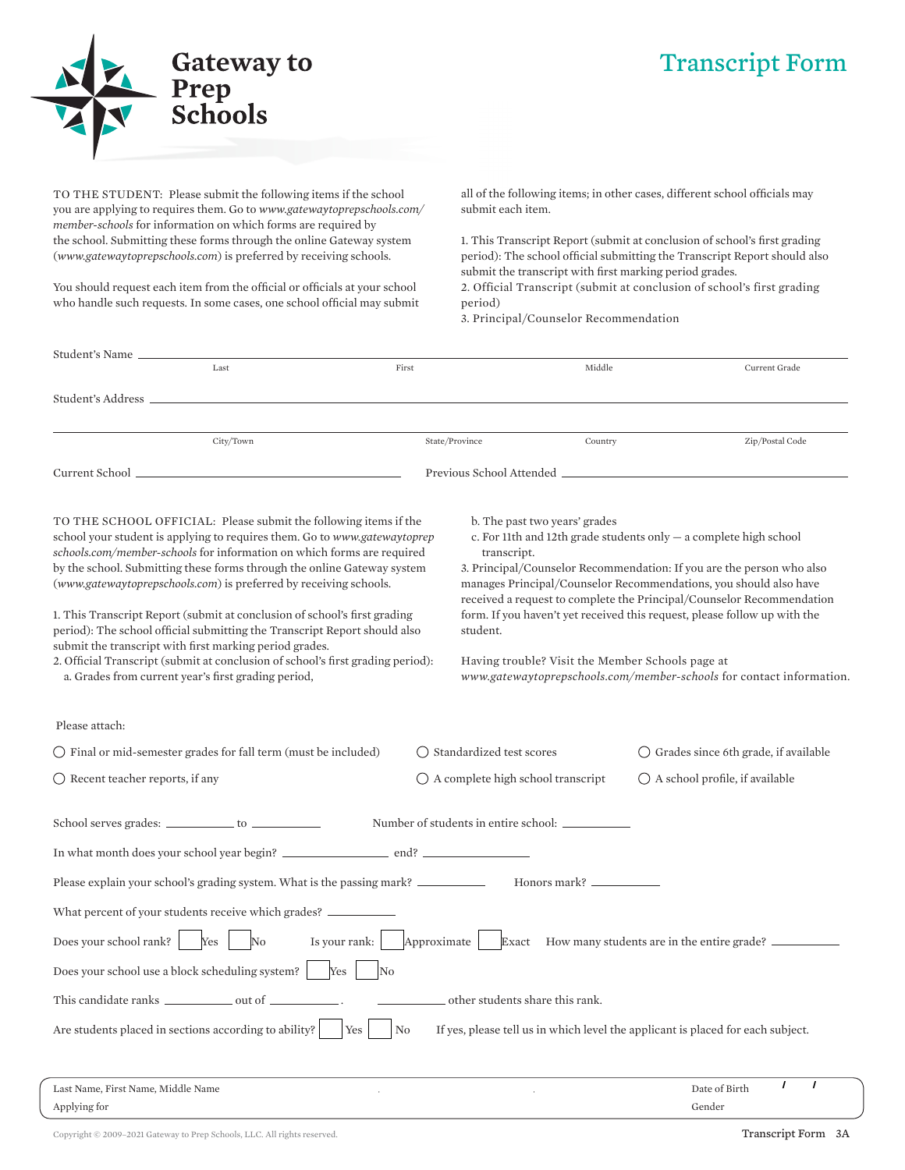## Transcript Form



TO THE STUDENT: Please submit the following items if the school you are applying to requires them. Go to *www.gatewaytoprepschools.com/ member-schools* for information on which forms are required by the school. Submitting these forms through the online Gateway system (*www.gatewaytoprepschools.com*) is preferred by receiving schools.

You should request each item from the official or officials at your school who handle such requests. In some cases, one school official may submit all of the following items; in other cases, different school officials may submit each item.

1. This Transcript Report (submit at conclusion of school's first grading period): The school official submitting the Transcript Report should also submit the transcript with first marking period grades.

2. Official Transcript (submit at conclusion of school's first grading period)

3. Principal/Counselor Recommendation

| Student's Name __                                                                                                                                                                                                                                                                                                                                                                                                                                                                                                                                                                                                                                                                                                                      |                              |                                                                                                                                                                                                                                                                                                                                                                                                                                                                                                                                                               |                                                                                   |  |  |
|----------------------------------------------------------------------------------------------------------------------------------------------------------------------------------------------------------------------------------------------------------------------------------------------------------------------------------------------------------------------------------------------------------------------------------------------------------------------------------------------------------------------------------------------------------------------------------------------------------------------------------------------------------------------------------------------------------------------------------------|------------------------------|---------------------------------------------------------------------------------------------------------------------------------------------------------------------------------------------------------------------------------------------------------------------------------------------------------------------------------------------------------------------------------------------------------------------------------------------------------------------------------------------------------------------------------------------------------------|-----------------------------------------------------------------------------------|--|--|
| Last                                                                                                                                                                                                                                                                                                                                                                                                                                                                                                                                                                                                                                                                                                                                   | First                        | Middle                                                                                                                                                                                                                                                                                                                                                                                                                                                                                                                                                        | Current Grade                                                                     |  |  |
| Student's Address _                                                                                                                                                                                                                                                                                                                                                                                                                                                                                                                                                                                                                                                                                                                    |                              |                                                                                                                                                                                                                                                                                                                                                                                                                                                                                                                                                               |                                                                                   |  |  |
|                                                                                                                                                                                                                                                                                                                                                                                                                                                                                                                                                                                                                                                                                                                                        |                              |                                                                                                                                                                                                                                                                                                                                                                                                                                                                                                                                                               |                                                                                   |  |  |
| City/Town                                                                                                                                                                                                                                                                                                                                                                                                                                                                                                                                                                                                                                                                                                                              |                              | State/Province<br>Country                                                                                                                                                                                                                                                                                                                                                                                                                                                                                                                                     | Zip/Postal Code                                                                   |  |  |
|                                                                                                                                                                                                                                                                                                                                                                                                                                                                                                                                                                                                                                                                                                                                        |                              |                                                                                                                                                                                                                                                                                                                                                                                                                                                                                                                                                               |                                                                                   |  |  |
|                                                                                                                                                                                                                                                                                                                                                                                                                                                                                                                                                                                                                                                                                                                                        |                              |                                                                                                                                                                                                                                                                                                                                                                                                                                                                                                                                                               |                                                                                   |  |  |
| TO THE SCHOOL OFFICIAL: Please submit the following items if the<br>school your student is applying to requires them. Go to www.gatewaytoprep<br>schools.com/member-schools for information on which forms are required<br>by the school. Submitting these forms through the online Gateway system<br>(www.gatewaytoprepschools.com) is preferred by receiving schools.<br>1. This Transcript Report (submit at conclusion of school's first grading<br>period): The school official submitting the Transcript Report should also<br>submit the transcript with first marking period grades.<br>2. Official Transcript (submit at conclusion of school's first grading period):<br>a. Grades from current year's first grading period, |                              | b. The past two years' grades<br>c. For 11th and 12th grade students only - a complete high school<br>transcript.<br>3. Principal/Counselor Recommendation: If you are the person who also<br>manages Principal/Counselor Recommendations, you should also have<br>received a request to complete the Principal/Counselor Recommendation<br>form. If you haven't yet received this request, please follow up with the<br>student.<br>Having trouble? Visit the Member Schools page at<br>www.gatewaytoprepschools.com/member-schools for contact information. |                                                                                   |  |  |
| Please attach:<br>$\bigcirc$ Final or mid-semester grades for fall term (must be included)<br>$\bigcirc$ Recent teacher reports, if any                                                                                                                                                                                                                                                                                                                                                                                                                                                                                                                                                                                                |                              | ◯ Standardized test scores<br>$\bigcirc$ A complete high school transcript                                                                                                                                                                                                                                                                                                                                                                                                                                                                                    | Grades since 6th grade, if available<br>$\bigcirc$ A school profile, if available |  |  |
| School serves grades: ___________ to ____________                                                                                                                                                                                                                                                                                                                                                                                                                                                                                                                                                                                                                                                                                      |                              |                                                                                                                                                                                                                                                                                                                                                                                                                                                                                                                                                               |                                                                                   |  |  |
| In what month does your school year begin? _________________________ end? __________________________                                                                                                                                                                                                                                                                                                                                                                                                                                                                                                                                                                                                                                   |                              |                                                                                                                                                                                                                                                                                                                                                                                                                                                                                                                                                               |                                                                                   |  |  |
| Please explain your school's grading system. What is the passing mark? __________                                                                                                                                                                                                                                                                                                                                                                                                                                                                                                                                                                                                                                                      |                              |                                                                                                                                                                                                                                                                                                                                                                                                                                                                                                                                                               |                                                                                   |  |  |
| What percent of your students receive which grades? _____________________________                                                                                                                                                                                                                                                                                                                                                                                                                                                                                                                                                                                                                                                      |                              |                                                                                                                                                                                                                                                                                                                                                                                                                                                                                                                                                               |                                                                                   |  |  |
| Does your school rank?<br>Yes<br>No                                                                                                                                                                                                                                                                                                                                                                                                                                                                                                                                                                                                                                                                                                    | Is your rank:<br>Approximate |                                                                                                                                                                                                                                                                                                                                                                                                                                                                                                                                                               | Exact How many students are in the entire grade? _                                |  |  |
| Does your school use a block scheduling system?                                                                                                                                                                                                                                                                                                                                                                                                                                                                                                                                                                                                                                                                                        | Yes<br>No                    |                                                                                                                                                                                                                                                                                                                                                                                                                                                                                                                                                               |                                                                                   |  |  |
| This candidate ranks ______________ out of __                                                                                                                                                                                                                                                                                                                                                                                                                                                                                                                                                                                                                                                                                          |                              | other students share this rank.                                                                                                                                                                                                                                                                                                                                                                                                                                                                                                                               |                                                                                   |  |  |
| Are students placed in sections according to ability?                                                                                                                                                                                                                                                                                                                                                                                                                                                                                                                                                                                                                                                                                  | Yes<br>$\rm No$              |                                                                                                                                                                                                                                                                                                                                                                                                                                                                                                                                                               | If yes, please tell us in which level the applicant is placed for each subject.   |  |  |
| Last Name, First Name, Middle Name<br>Applying for                                                                                                                                                                                                                                                                                                                                                                                                                                                                                                                                                                                                                                                                                     |                              |                                                                                                                                                                                                                                                                                                                                                                                                                                                                                                                                                               | $\prime$<br>$\prime$<br>Date of Birth<br>Gender                                   |  |  |